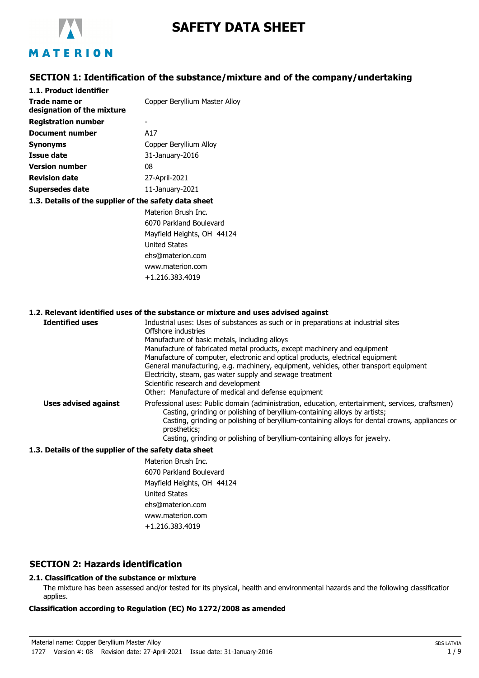

# **SAFETY DATA SHEET**

# MATERION

# **SECTION 1: Identification of the substance/mixture and of the company/undertaking**

| 1.1. Product identifier                               |                               |
|-------------------------------------------------------|-------------------------------|
| Trade name or                                         | Copper Beryllium Master Alloy |
| designation of the mixture                            |                               |
| <b>Registration number</b>                            |                               |
| Document number                                       | A17                           |
| <b>Synonyms</b>                                       | Copper Beryllium Alloy        |
| Issue date                                            | 31-January-2016               |
| <b>Version number</b>                                 | 08                            |
| <b>Revision date</b>                                  | 27-April-2021                 |
| Supersedes date                                       | 11-January-2021               |
| 1.3. Details of the supplier of the safety data sheet |                               |
|                                                       | Materion Brush Inc.           |
|                                                       | 6070 Parkland Boulevard       |
|                                                       | Mayfield Heights, OH 44124    |
|                                                       | $I$ Initad $C$ tatas          |

United States ehs@materion.com www.materion.com +1.216.383.4019

#### **1.2. Relevant identified uses of the substance or mixture and uses advised against**

| <b>Identified uses</b> | Industrial uses: Uses of substances as such or in preparations at industrial sites<br>Offshore industries<br>Manufacture of basic metals, including alloys<br>Manufacture of fabricated metal products, except machinery and equipment<br>Manufacture of computer, electronic and optical products, electrical equipment<br>General manufacturing, e.g. machinery, equipment, vehicles, other transport equipment<br>Electricity, steam, gas water supply and sewage treatment<br>Scientific research and development<br>Other: Manufacture of medical and defense equipment |
|------------------------|------------------------------------------------------------------------------------------------------------------------------------------------------------------------------------------------------------------------------------------------------------------------------------------------------------------------------------------------------------------------------------------------------------------------------------------------------------------------------------------------------------------------------------------------------------------------------|
| Uses advised against   | Professional uses: Public domain (administration, education, entertainment, services, craftsmen)<br>Casting, grinding or polishing of beryllium-containing alloys by artists;<br>Casting, grinding or polishing of beryllium-containing alloys for dental crowns, appliances or<br>prosthetics;<br>Casting, grinding or polishing of beryllium-containing alloys for jewelry.                                                                                                                                                                                                |

#### **1.3. Details of the supplier of the safety data sheet**

Materion Brush Inc. 6070 Parkland Boulevard Mayfield Heights, OH 44124 United States ehs@materion.com www.materion.com +1.216.383.4019

# **SECTION 2: Hazards identification**

# **2.1. Classification of the substance or mixture**

The mixture has been assessed and/or tested for its physical, health and environmental hazards and the following classification applies.

#### **Classification according to Regulation (EC) No 1272/2008 as amended**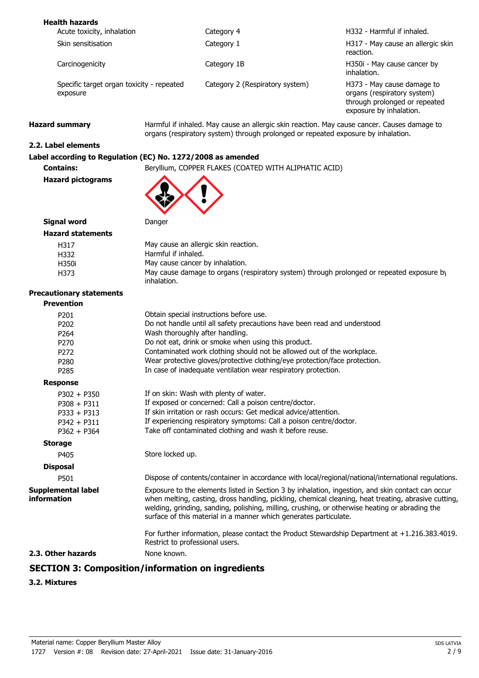| <b>Health hazards</b>                                 |                                 |                                                                                                                       |
|-------------------------------------------------------|---------------------------------|-----------------------------------------------------------------------------------------------------------------------|
| Acute toxicity, inhalation                            | Category 4                      | H332 - Harmful if inhaled.                                                                                            |
| Skin sensitisation                                    | Category 1                      | H317 - May cause an allergic skin<br>reaction.                                                                        |
| Carcinogenicity                                       | Category 1B                     | H350i - May cause cancer by<br>inhalation.                                                                            |
| Specific target organ toxicity - repeated<br>exposure | Category 2 (Respiratory system) | H373 - May cause damage to<br>organs (respiratory system)<br>through prolonged or repeated<br>exposure by inhalation. |

Hazard summary **Harmful if inhaled. May cause an allergic skin reaction. May cause cancer. Causes damage to** organs (respiratory system) through prolonged or repeated exposure by inhalation.

# **2.2. Label elements**

# **Label according to Regulation (EC) No. 1272/2008 as amended**

**Contains:** Beryllium, COPPER FLAKES (COATED WITH ALIPHATIC ACID)

**Hazard pictograms**

## **Signal word** Danger **Hazard statements**

| 81 Y SLALCINGILS |                                                                                                          |
|------------------|----------------------------------------------------------------------------------------------------------|
| H317             | May cause an allergic skin reaction.                                                                     |
| H332             | Harmful if inhaled.                                                                                      |
| H350i            | May cause cancer by inhalation.                                                                          |
| H373             | May cause damage to organs (respiratory system) through prolonged or repeated exposure by<br>inhalation. |

#### **Precautionary statements**

| <b>Precautionary statements</b>          |                                                                                                                                                                                                                                                                                                                                                                                  |
|------------------------------------------|----------------------------------------------------------------------------------------------------------------------------------------------------------------------------------------------------------------------------------------------------------------------------------------------------------------------------------------------------------------------------------|
| <b>Prevention</b>                        |                                                                                                                                                                                                                                                                                                                                                                                  |
| P <sub>201</sub>                         | Obtain special instructions before use.                                                                                                                                                                                                                                                                                                                                          |
| P202                                     | Do not handle until all safety precautions have been read and understood.                                                                                                                                                                                                                                                                                                        |
| P <sub>264</sub>                         | Wash thoroughly after handling.                                                                                                                                                                                                                                                                                                                                                  |
| P270                                     | Do not eat, drink or smoke when using this product.                                                                                                                                                                                                                                                                                                                              |
| P <sub>272</sub>                         | Contaminated work clothing should not be allowed out of the workplace.                                                                                                                                                                                                                                                                                                           |
| P <sub>280</sub>                         | Wear protective gloves/protective clothing/eye protection/face protection.                                                                                                                                                                                                                                                                                                       |
| P <sub>285</sub>                         | In case of inadequate ventilation wear respiratory protection.                                                                                                                                                                                                                                                                                                                   |
| <b>Response</b>                          |                                                                                                                                                                                                                                                                                                                                                                                  |
| $P302 + P350$                            | If on skin: Wash with plenty of water.                                                                                                                                                                                                                                                                                                                                           |
| $P308 + P311$                            | If exposed or concerned: Call a poison centre/doctor.                                                                                                                                                                                                                                                                                                                            |
| $P333 + P313$                            | If skin irritation or rash occurs: Get medical advice/attention.                                                                                                                                                                                                                                                                                                                 |
| $P342 + P311$                            | If experiencing respiratory symptoms: Call a poison centre/doctor.                                                                                                                                                                                                                                                                                                               |
| $P362 + P364$                            | Take off contaminated clothing and wash it before reuse.                                                                                                                                                                                                                                                                                                                         |
| <b>Storage</b>                           |                                                                                                                                                                                                                                                                                                                                                                                  |
| P405                                     | Store locked up.                                                                                                                                                                                                                                                                                                                                                                 |
| <b>Disposal</b>                          |                                                                                                                                                                                                                                                                                                                                                                                  |
| P501                                     | Dispose of contents/container in accordance with local/regional/national/international regulations.                                                                                                                                                                                                                                                                              |
| <b>Supplemental label</b><br>information | Exposure to the elements listed in Section 3 by inhalation, ingestion, and skin contact can occur<br>when melting, casting, dross handling, pickling, chemical cleaning, heat treating, abrasive cutting,<br>welding, grinding, sanding, polishing, milling, crushing, or otherwise heating or abrading the<br>surface of this material in a manner which generates particulate. |
|                                          | For further information, please contact the Product Stewardship Department at $+1.216.383.4019$ .<br>Restrict to professional users.                                                                                                                                                                                                                                             |
| 2.3. Other hazards                       | None known.                                                                                                                                                                                                                                                                                                                                                                      |
|                                          |                                                                                                                                                                                                                                                                                                                                                                                  |

# **SECTION 3: Composition/information on ingredients**

#### **3.2. Mixtures**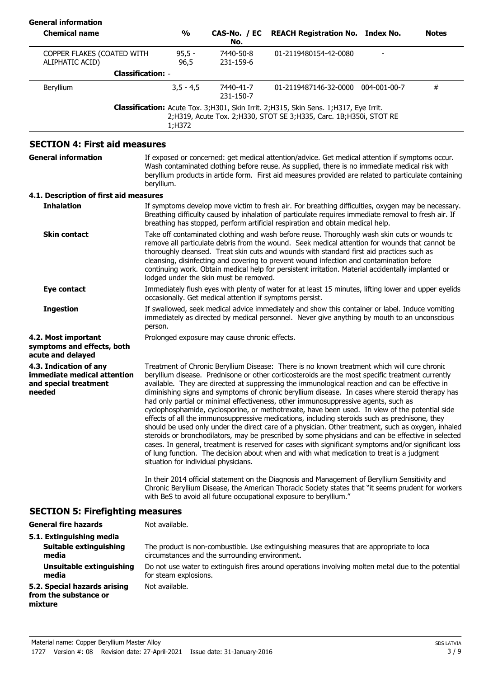| <b>General information</b>                                                               |                          |                                                |                        |                                                                                                                                                                                                                                                                                                                                                                                                                                                                                                                                                                                                                                                                                                                                                                                                                                                                                                                                                                                                                                                                                                                |              |              |
|------------------------------------------------------------------------------------------|--------------------------|------------------------------------------------|------------------------|----------------------------------------------------------------------------------------------------------------------------------------------------------------------------------------------------------------------------------------------------------------------------------------------------------------------------------------------------------------------------------------------------------------------------------------------------------------------------------------------------------------------------------------------------------------------------------------------------------------------------------------------------------------------------------------------------------------------------------------------------------------------------------------------------------------------------------------------------------------------------------------------------------------------------------------------------------------------------------------------------------------------------------------------------------------------------------------------------------------|--------------|--------------|
| <b>Chemical name</b>                                                                     |                          | $\frac{1}{2}$                                  | CAS-No. / EC<br>No.    | <b>REACH Registration No. Index No.</b>                                                                                                                                                                                                                                                                                                                                                                                                                                                                                                                                                                                                                                                                                                                                                                                                                                                                                                                                                                                                                                                                        |              | <b>Notes</b> |
| COPPER FLAKES (COATED WITH<br>ALIPHATIC ACID)                                            |                          | $95,5 -$<br>96,5                               | 7440-50-8<br>231-159-6 | 01-2119480154-42-0080                                                                                                                                                                                                                                                                                                                                                                                                                                                                                                                                                                                                                                                                                                                                                                                                                                                                                                                                                                                                                                                                                          |              |              |
|                                                                                          | <b>Classification: -</b> |                                                |                        |                                                                                                                                                                                                                                                                                                                                                                                                                                                                                                                                                                                                                                                                                                                                                                                                                                                                                                                                                                                                                                                                                                                |              |              |
| Beryllium                                                                                |                          | $3,5 - 4,5$                                    | 7440-41-7<br>231-150-7 | 01-2119487146-32-0000                                                                                                                                                                                                                                                                                                                                                                                                                                                                                                                                                                                                                                                                                                                                                                                                                                                                                                                                                                                                                                                                                          | 004-001-00-7 | #            |
|                                                                                          |                          | 1;H372                                         |                        | Classification: Acute Tox. 3;H301, Skin Irrit. 2;H315, Skin Sens. 1;H317, Eye Irrit.<br>2;H319, Acute Tox. 2;H330, STOT SE 3;H335, Carc. 1B;H350i, STOT RE                                                                                                                                                                                                                                                                                                                                                                                                                                                                                                                                                                                                                                                                                                                                                                                                                                                                                                                                                     |              |              |
| <b>SECTION 4: First aid measures</b>                                                     |                          |                                                |                        |                                                                                                                                                                                                                                                                                                                                                                                                                                                                                                                                                                                                                                                                                                                                                                                                                                                                                                                                                                                                                                                                                                                |              |              |
| <b>General information</b>                                                               | beryllium.               |                                                |                        | If exposed or concerned: get medical attention/advice. Get medical attention if symptoms occur.<br>Wash contaminated clothing before reuse. As supplied, there is no immediate medical risk with<br>beryllium products in article form. First aid measures provided are related to particulate containing                                                                                                                                                                                                                                                                                                                                                                                                                                                                                                                                                                                                                                                                                                                                                                                                      |              |              |
| 4.1. Description of first aid measures                                                   |                          |                                                |                        |                                                                                                                                                                                                                                                                                                                                                                                                                                                                                                                                                                                                                                                                                                                                                                                                                                                                                                                                                                                                                                                                                                                |              |              |
| <b>Inhalation</b>                                                                        |                          |                                                |                        | If symptoms develop move victim to fresh air. For breathing difficulties, oxygen may be necessary.<br>Breathing difficulty caused by inhalation of particulate requires immediate removal to fresh air. If<br>breathing has stopped, perform artificial respiration and obtain medical help.                                                                                                                                                                                                                                                                                                                                                                                                                                                                                                                                                                                                                                                                                                                                                                                                                   |              |              |
| <b>Skin contact</b>                                                                      |                          | lodged under the skin must be removed.         |                        | Take off contaminated clothing and wash before reuse. Thoroughly wash skin cuts or wounds to<br>remove all particulate debris from the wound. Seek medical attention for wounds that cannot be<br>thoroughly cleansed. Treat skin cuts and wounds with standard first aid practices such as<br>cleansing, disinfecting and covering to prevent wound infection and contamination before<br>continuing work. Obtain medical help for persistent irritation. Material accidentally implanted or                                                                                                                                                                                                                                                                                                                                                                                                                                                                                                                                                                                                                  |              |              |
| Eye contact                                                                              |                          |                                                |                        | Immediately flush eyes with plenty of water for at least 15 minutes, lifting lower and upper eyelids<br>occasionally. Get medical attention if symptoms persist.                                                                                                                                                                                                                                                                                                                                                                                                                                                                                                                                                                                                                                                                                                                                                                                                                                                                                                                                               |              |              |
| <b>Ingestion</b>                                                                         | person.                  |                                                |                        | If swallowed, seek medical advice immediately and show this container or label. Induce vomiting<br>immediately as directed by medical personnel. Never give anything by mouth to an unconscious                                                                                                                                                                                                                                                                                                                                                                                                                                                                                                                                                                                                                                                                                                                                                                                                                                                                                                                |              |              |
| 4.2. Most important<br>symptoms and effects, both<br>acute and delayed                   |                          | Prolonged exposure may cause chronic effects.  |                        |                                                                                                                                                                                                                                                                                                                                                                                                                                                                                                                                                                                                                                                                                                                                                                                                                                                                                                                                                                                                                                                                                                                |              |              |
| 4.3. Indication of any<br>immediate medical attention<br>and special treatment<br>needed |                          | situation for individual physicians.           |                        | Treatment of Chronic Beryllium Disease: There is no known treatment which will cure chronic<br>beryllium disease. Prednisone or other corticosteroids are the most specific treatment currently<br>available. They are directed at suppressing the immunological reaction and can be effective in<br>diminishing signs and symptoms of chronic beryllium disease. In cases where steroid therapy has<br>had only partial or minimal effectiveness, other immunosuppressive agents, such as<br>cyclophosphamide, cyclosporine, or methotrexate, have been used. In view of the potential side<br>effects of all the immunosuppressive medications, including steroids such as prednisone, they<br>should be used only under the direct care of a physician. Other treatment, such as oxygen, inhaled<br>steroids or bronchodilators, may be prescribed by some physicians and can be effective in selected<br>cases. In general, treatment is reserved for cases with significant symptoms and/or significant loss<br>of lung function. The decision about when and with what medication to treat is a judgment |              |              |
|                                                                                          |                          |                                                |                        | In their 2014 official statement on the Diagnosis and Management of Beryllium Sensitivity and<br>Chronic Beryllium Disease, the American Thoracic Society states that "it seems prudent for workers<br>with BeS to avoid all future occupational exposure to beryllium."                                                                                                                                                                                                                                                                                                                                                                                                                                                                                                                                                                                                                                                                                                                                                                                                                                       |              |              |
| <b>SECTION 5: Firefighting measures</b>                                                  |                          |                                                |                        |                                                                                                                                                                                                                                                                                                                                                                                                                                                                                                                                                                                                                                                                                                                                                                                                                                                                                                                                                                                                                                                                                                                |              |              |
| <b>General fire hazards</b>                                                              |                          | Not available.                                 |                        |                                                                                                                                                                                                                                                                                                                                                                                                                                                                                                                                                                                                                                                                                                                                                                                                                                                                                                                                                                                                                                                                                                                |              |              |
| 5.1. Extinguishing media<br>Suitable extinguishing<br>media                              |                          | circumstances and the surrounding environment. |                        | The product is non-combustible. Use extinguishing measures that are appropriate to loca                                                                                                                                                                                                                                                                                                                                                                                                                                                                                                                                                                                                                                                                                                                                                                                                                                                                                                                                                                                                                        |              |              |
| <b>Unsuitable extinguishing</b><br>media                                                 |                          | for steam explosions.                          |                        | Do not use water to extinguish fires around operations involving molten metal due to the potential                                                                                                                                                                                                                                                                                                                                                                                                                                                                                                                                                                                                                                                                                                                                                                                                                                                                                                                                                                                                             |              |              |

**5.2. Special hazards arising** Not available. **from the substance or mixture**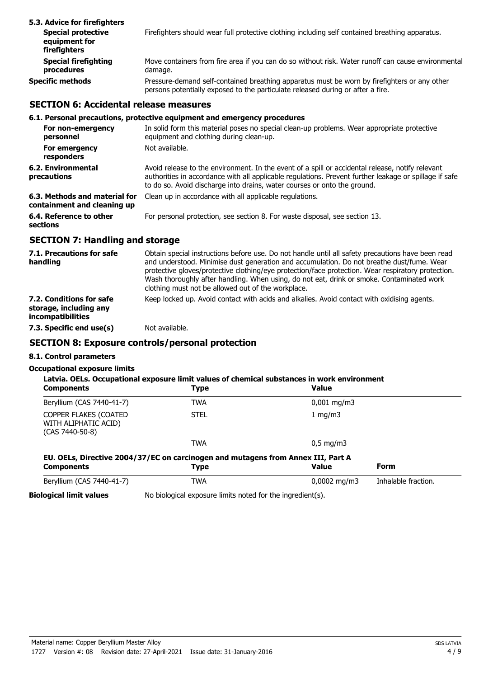| 5.3. Advice for firefighters                               |                                                                                                                                                                                 |
|------------------------------------------------------------|---------------------------------------------------------------------------------------------------------------------------------------------------------------------------------|
| <b>Special protective</b><br>equipment for<br>firefighters | Firefighters should wear full protective clothing including self contained breathing apparatus.                                                                                 |
| <b>Special firefighting</b><br>procedures                  | Move containers from fire area if you can do so without risk. Water runoff can cause environmental<br>damage.                                                                   |
| Specific methods                                           | Pressure-demand self-contained breathing apparatus must be worn by firefighters or any other<br>persons potentially exposed to the particulate released during or after a fire. |

## **SECTION 6: Accidental release measures**

# **6.1. Personal precautions, protective equipment and emergency procedures**

| For non-emergency<br>personnel                               | In solid form this material poses no special clean-up problems. Wear appropriate protective<br>equipment and clothing during clean-up.                                                                                                                                                 |
|--------------------------------------------------------------|----------------------------------------------------------------------------------------------------------------------------------------------------------------------------------------------------------------------------------------------------------------------------------------|
| For emergency<br>responders                                  | Not available.                                                                                                                                                                                                                                                                         |
| 6.2. Environmental<br>precautions                            | Avoid release to the environment. In the event of a spill or accidental release, notify relevant<br>authorities in accordance with all applicable regulations. Prevent further leakage or spillage if safe<br>to do so. Avoid discharge into drains, water courses or onto the ground. |
| 6.3. Methods and material for<br>containment and cleaning up | Clean up in accordance with all applicable regulations.                                                                                                                                                                                                                                |
| 6.4. Reference to other<br>sections                          | For personal protection, see section 8. For waste disposal, see section 13.                                                                                                                                                                                                            |

# **SECTION 7: Handling and storage**

| 7.1. Precautions for safe<br>handling                                          | Obtain special instructions before use. Do not handle until all safety precautions have been read<br>and understood. Minimise dust generation and accumulation. Do not breathe dust/fume. Wear<br>protective gloves/protective clothing/eye protection/face protection. Wear respiratory protection.<br>Wash thoroughly after handling. When using, do not eat, drink or smoke. Contaminated work<br>clothing must not be allowed out of the workplace. |
|--------------------------------------------------------------------------------|---------------------------------------------------------------------------------------------------------------------------------------------------------------------------------------------------------------------------------------------------------------------------------------------------------------------------------------------------------------------------------------------------------------------------------------------------------|
| 7.2. Conditions for safe<br>storage, including any<br><i>incompatibilities</i> | Keep locked up. Avoid contact with acids and alkalies. Avoid contact with oxidising agents.                                                                                                                                                                                                                                                                                                                                                             |
| 7.3. Specific end use(s)                                                       | Not available.                                                                                                                                                                                                                                                                                                                                                                                                                                          |

# **SECTION 8: Exposure controls/personal protection**

# **8.1. Control parameters**

#### **Occupational exposure limits**

| <b>Components</b>                                                  | Latvia. OELs. Occupational exposure limit values of chemical substances in work environment<br><b>Type</b> | <b>Value</b>            |                     |
|--------------------------------------------------------------------|------------------------------------------------------------------------------------------------------------|-------------------------|---------------------|
| Beryllium (CAS 7440-41-7)                                          | <b>TWA</b>                                                                                                 | $0,001 \,\mathrm{mq/m}$ |                     |
| COPPER FLAKES (COATED<br>WITH ALIPHATIC ACID)<br>$(CAS 7440-50-8)$ | <b>STEL</b>                                                                                                | 1 $mq/m3$               |                     |
|                                                                    | <b>TWA</b>                                                                                                 | $0.5 \text{ mg/m}$      |                     |
| <b>Components</b>                                                  | EU. OELs, Directive 2004/37/EC on carcinogen and mutagens from Annex III, Part A<br><b>Type</b>            | <b>Value</b>            | Form                |
| Beryllium (CAS 7440-41-7)                                          | TWA                                                                                                        | $0,0002 \text{ mg/m}$   | Inhalable fraction. |
| <b>Biological limit values</b>                                     | No biological exposure limits noted for the ingredient(s).                                                 |                         |                     |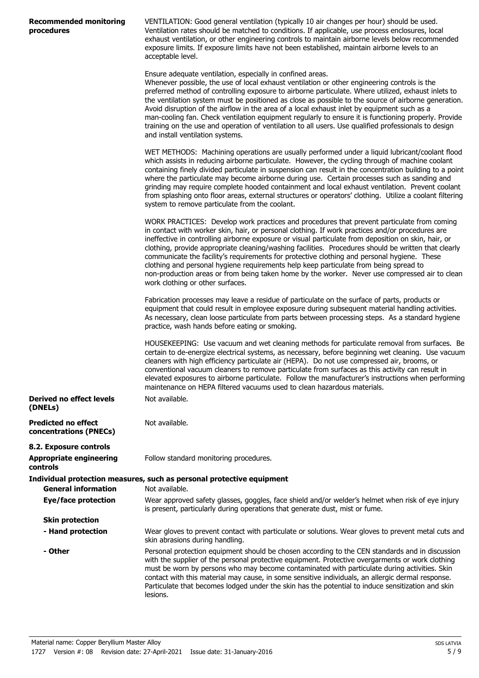| <b>Recommended monitoring</b><br>procedures          | VENTILATION: Good general ventilation (typically 10 air changes per hour) should be used.<br>Ventilation rates should be matched to conditions. If applicable, use process enclosures, local<br>exhaust ventilation, or other engineering controls to maintain airborne levels below recommended<br>exposure limits. If exposure limits have not been established, maintain airborne levels to an<br>acceptable level.                                                                                                                                                                                                                                                                                                                       |
|------------------------------------------------------|----------------------------------------------------------------------------------------------------------------------------------------------------------------------------------------------------------------------------------------------------------------------------------------------------------------------------------------------------------------------------------------------------------------------------------------------------------------------------------------------------------------------------------------------------------------------------------------------------------------------------------------------------------------------------------------------------------------------------------------------|
|                                                      | Ensure adequate ventilation, especially in confined areas.<br>Whenever possible, the use of local exhaust ventilation or other engineering controls is the<br>preferred method of controlling exposure to airborne particulate. Where utilized, exhaust inlets to<br>the ventilation system must be positioned as close as possible to the source of airborne generation.<br>Avoid disruption of the airflow in the area of a local exhaust inlet by equipment such as a<br>man-cooling fan. Check ventilation equipment regularly to ensure it is functioning properly. Provide<br>training on the use and operation of ventilation to all users. Use qualified professionals to design<br>and install ventilation systems.                 |
|                                                      | WET METHODS: Machining operations are usually performed under a liquid lubricant/coolant flood<br>which assists in reducing airborne particulate. However, the cycling through of machine coolant<br>containing finely divided particulate in suspension can result in the concentration building to a point<br>where the particulate may become airborne during use. Certain processes such as sanding and<br>grinding may require complete hooded containment and local exhaust ventilation. Prevent coolant<br>from splashing onto floor areas, external structures or operators' clothing. Utilize a coolant filtering<br>system to remove particulate from the coolant.                                                                 |
|                                                      | WORK PRACTICES: Develop work practices and procedures that prevent particulate from coming<br>in contact with worker skin, hair, or personal clothing. If work practices and/or procedures are<br>ineffective in controlling airborne exposure or visual particulate from deposition on skin, hair, or<br>clothing, provide appropriate cleaning/washing facilities. Procedures should be written that clearly<br>communicate the facility's requirements for protective clothing and personal hygiene. These<br>clothing and personal hygiene requirements help keep particulate from being spread to<br>non-production areas or from being taken home by the worker. Never use compressed air to clean<br>work clothing or other surfaces. |
|                                                      | Fabrication processes may leave a residue of particulate on the surface of parts, products or<br>equipment that could result in employee exposure during subsequent material handling activities.<br>As necessary, clean loose particulate from parts between processing steps. As a standard hygiene<br>practice, wash hands before eating or smoking.                                                                                                                                                                                                                                                                                                                                                                                      |
|                                                      | HOUSEKEEPING: Use vacuum and wet cleaning methods for particulate removal from surfaces. Be<br>certain to de-energize electrical systems, as necessary, before beginning wet cleaning. Use vacuum<br>cleaners with high efficiency particulate air (HEPA). Do not use compressed air, brooms, or<br>conventional vacuum cleaners to remove particulate from surfaces as this activity can result in<br>elevated exposures to airborne particulate. Follow the manufacturer's instructions when performing<br>maintenance on HEPA filtered vacuums used to clean hazardous materials.                                                                                                                                                         |
| Derived no effect levels<br>(DNELs)                  | Not available.                                                                                                                                                                                                                                                                                                                                                                                                                                                                                                                                                                                                                                                                                                                               |
| <b>Predicted no effect</b><br>concentrations (PNECs) | Not available.                                                                                                                                                                                                                                                                                                                                                                                                                                                                                                                                                                                                                                                                                                                               |
| 8.2. Exposure controls                               |                                                                                                                                                                                                                                                                                                                                                                                                                                                                                                                                                                                                                                                                                                                                              |
| <b>Appropriate engineering</b><br>controls           | Follow standard monitoring procedures.                                                                                                                                                                                                                                                                                                                                                                                                                                                                                                                                                                                                                                                                                                       |
|                                                      | Individual protection measures, such as personal protective equipment                                                                                                                                                                                                                                                                                                                                                                                                                                                                                                                                                                                                                                                                        |
| <b>General information</b>                           | Not available.                                                                                                                                                                                                                                                                                                                                                                                                                                                                                                                                                                                                                                                                                                                               |
| Eye/face protection                                  | Wear approved safety glasses, goggles, face shield and/or welder's helmet when risk of eye injury<br>is present, particularly during operations that generate dust, mist or fume.                                                                                                                                                                                                                                                                                                                                                                                                                                                                                                                                                            |
| <b>Skin protection</b>                               |                                                                                                                                                                                                                                                                                                                                                                                                                                                                                                                                                                                                                                                                                                                                              |
| - Hand protection                                    | Wear gloves to prevent contact with particulate or solutions. Wear gloves to prevent metal cuts and<br>skin abrasions during handling.                                                                                                                                                                                                                                                                                                                                                                                                                                                                                                                                                                                                       |
| - Other                                              | Personal protection equipment should be chosen according to the CEN standards and in discussion<br>with the supplier of the personal protective equipment. Protective overgarments or work clothing<br>must be worn by persons who may become contaminated with particulate during activities. Skin<br>contact with this material may cause, in some sensitive individuals, an allergic dermal response.<br>Particulate that becomes lodged under the skin has the potential to induce sensitization and skin                                                                                                                                                                                                                                |

lesions.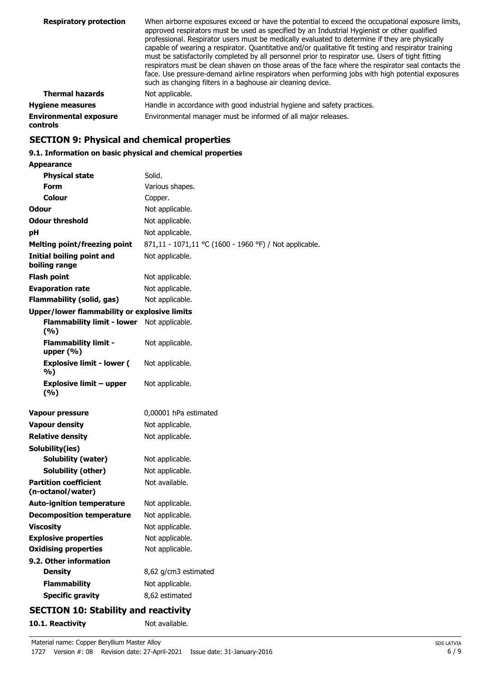| <b>Respiratory protection</b>             | When airborne exposures exceed or have the potential to exceed the occupational exposure limits,<br>approved respirators must be used as specified by an Industrial Hygienist or other qualified<br>professional. Respirator users must be medically evaluated to determine if they are physically<br>capable of wearing a respirator. Quantitative and/or qualitative fit testing and respirator training<br>must be satisfactorily completed by all personnel prior to respirator use. Users of tight fitting<br>respirators must be clean shaven on those areas of the face where the respirator seal contacts the<br>face. Use pressure-demand airline respirators when performing jobs with high potential exposures<br>such as changing filters in a baghouse air cleaning device. |
|-------------------------------------------|------------------------------------------------------------------------------------------------------------------------------------------------------------------------------------------------------------------------------------------------------------------------------------------------------------------------------------------------------------------------------------------------------------------------------------------------------------------------------------------------------------------------------------------------------------------------------------------------------------------------------------------------------------------------------------------------------------------------------------------------------------------------------------------|
| <b>Thermal hazards</b>                    | Not applicable.                                                                                                                                                                                                                                                                                                                                                                                                                                                                                                                                                                                                                                                                                                                                                                          |
| <b>Hygiene measures</b>                   | Handle in accordance with good industrial hygiene and safety practices.                                                                                                                                                                                                                                                                                                                                                                                                                                                                                                                                                                                                                                                                                                                  |
| <b>Environmental exposure</b><br>controls | Environmental manager must be informed of all major releases.                                                                                                                                                                                                                                                                                                                                                                                                                                                                                                                                                                                                                                                                                                                            |

# **SECTION 9: Physical and chemical properties**

# **9.1. Information on basic physical and chemical properties**

| <b>Appearance</b>                                   |                                                        |  |  |
|-----------------------------------------------------|--------------------------------------------------------|--|--|
| <b>Physical state</b>                               | Solid.                                                 |  |  |
| <b>Form</b>                                         | Various shapes.                                        |  |  |
| Colour                                              | Copper.                                                |  |  |
| Odour                                               | Not applicable.                                        |  |  |
| <b>Odour threshold</b>                              | Not applicable.                                        |  |  |
| рH                                                  | Not applicable.                                        |  |  |
| <b>Melting point/freezing point</b>                 | 871,11 - 1071,11 °C (1600 - 1960 °F) / Not applicable. |  |  |
| <b>Initial boiling point and</b><br>boiling range   | Not applicable.                                        |  |  |
| <b>Flash point</b>                                  | Not applicable.                                        |  |  |
| <b>Evaporation rate</b>                             | Not applicable.                                        |  |  |
| <b>Flammability (solid, gas)</b>                    | Not applicable.                                        |  |  |
| <b>Upper/lower flammability or explosive limits</b> |                                                        |  |  |
| <b>Flammability limit - lower</b><br>(%)            | Not applicable.                                        |  |  |
| <b>Flammability limit -</b><br>upper $(\%)$         | Not applicable.                                        |  |  |
| <b>Explosive limit - lower (</b><br>%)              | Not applicable.                                        |  |  |
| <b>Explosive limit - upper</b><br>(9/6)             | Not applicable.                                        |  |  |
| Vapour pressure                                     | 0,00001 hPa estimated                                  |  |  |
| <b>Vapour density</b>                               | Not applicable.                                        |  |  |
| <b>Relative density</b>                             | Not applicable.                                        |  |  |
| Solubility(ies)                                     |                                                        |  |  |
| Solubility (water)                                  | Not applicable.                                        |  |  |
| <b>Solubility (other)</b>                           | Not applicable.                                        |  |  |
| <b>Partition coefficient</b><br>(n-octanol/water)   | Not available.                                         |  |  |
| <b>Auto-ignition temperature</b>                    | Not applicable.                                        |  |  |
| <b>Decomposition temperature</b>                    | Not applicable.                                        |  |  |
| <b>Viscosity</b>                                    | Not applicable.                                        |  |  |
| <b>Explosive properties</b>                         | Not applicable.                                        |  |  |
| <b>Oxidising properties</b>                         | Not applicable.                                        |  |  |
| 9.2. Other information                              |                                                        |  |  |
| <b>Density</b>                                      | 8,62 g/cm3 estimated                                   |  |  |
| <b>Flammability</b>                                 | Not applicable.                                        |  |  |
| <b>Specific gravity</b>                             | 8,62 estimated                                         |  |  |
| <b>SECTION 10: Stability and reactivity</b>         |                                                        |  |  |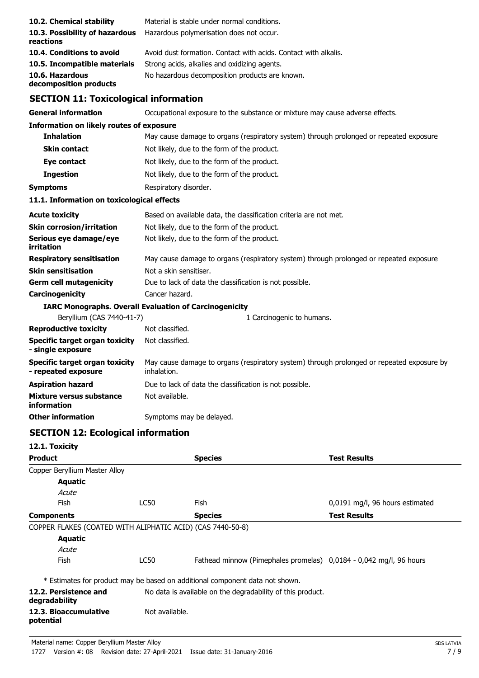| 10.2. Chemical stability                                      |                                             | Material is stable under normal conditions.                                               |                                 |  |
|---------------------------------------------------------------|---------------------------------------------|-------------------------------------------------------------------------------------------|---------------------------------|--|
| 10.3. Possibility of hazardous<br>reactions                   |                                             | Hazardous polymerisation does not occur.                                                  |                                 |  |
| 10.4. Conditions to avoid                                     |                                             | Avoid dust formation. Contact with acids. Contact with alkalis.                           |                                 |  |
| 10.5. Incompatible materials                                  |                                             | Strong acids, alkalies and oxidizing agents.                                              |                                 |  |
| 10.6. Hazardous<br>decomposition products                     |                                             | No hazardous decomposition products are known.                                            |                                 |  |
| <b>SECTION 11: Toxicological information</b>                  |                                             |                                                                                           |                                 |  |
| <b>General information</b>                                    |                                             | Occupational exposure to the substance or mixture may cause adverse effects.              |                                 |  |
| <b>Information on likely routes of exposure</b>               |                                             |                                                                                           |                                 |  |
| <b>Inhalation</b>                                             |                                             | May cause damage to organs (respiratory system) through prolonged or repeated exposure.   |                                 |  |
| <b>Skin contact</b>                                           | Not likely, due to the form of the product. |                                                                                           |                                 |  |
| Eye contact                                                   | Not likely, due to the form of the product. |                                                                                           |                                 |  |
| <b>Ingestion</b>                                              | Not likely, due to the form of the product. |                                                                                           |                                 |  |
| <b>Symptoms</b>                                               |                                             | Respiratory disorder.                                                                     |                                 |  |
| 11.1. Information on toxicological effects                    |                                             |                                                                                           |                                 |  |
| <b>Acute toxicity</b>                                         |                                             | Based on available data, the classification criteria are not met.                         |                                 |  |
| <b>Skin corrosion/irritation</b>                              |                                             | Not likely, due to the form of the product.                                               |                                 |  |
| Serious eye damage/eye<br>irritation                          |                                             | Not likely, due to the form of the product.                                               |                                 |  |
| <b>Respiratory sensitisation</b>                              |                                             | May cause damage to organs (respiratory system) through prolonged or repeated exposure.   |                                 |  |
| <b>Skin sensitisation</b>                                     | Not a skin sensitiser.                      |                                                                                           |                                 |  |
| <b>Germ cell mutagenicity</b>                                 |                                             | Due to lack of data the classification is not possible.                                   |                                 |  |
| Carcinogenicity                                               | Cancer hazard.                              |                                                                                           |                                 |  |
| <b>IARC Monographs. Overall Evaluation of Carcinogenicity</b> |                                             |                                                                                           |                                 |  |
| Beryllium (CAS 7440-41-7)                                     |                                             | 1 Carcinogenic to humans.                                                                 |                                 |  |
| <b>Reproductive toxicity</b>                                  | Not classified.                             |                                                                                           |                                 |  |
| <b>Specific target organ toxicity</b><br>- single exposure    | Not classified.                             |                                                                                           |                                 |  |
| <b>Specific target organ toxicity</b><br>- repeated exposure  | inhalation.                                 | May cause damage to organs (respiratory system) through prolonged or repeated exposure by |                                 |  |
| <b>Aspiration hazard</b>                                      |                                             | Due to lack of data the classification is not possible.                                   |                                 |  |
| Mixture versus substance<br>information                       | Not available.                              |                                                                                           |                                 |  |
| <b>Other information</b>                                      | Symptoms may be delayed.                    |                                                                                           |                                 |  |
| <b>SECTION 12: Ecological information</b>                     |                                             |                                                                                           |                                 |  |
| 12.1. Toxicity                                                |                                             |                                                                                           |                                 |  |
| <b>Product</b>                                                |                                             | <b>Species</b>                                                                            | <b>Test Results</b>             |  |
| Copper Beryllium Master Alloy<br><b>Aquatic</b><br>Acute      |                                             |                                                                                           |                                 |  |
| Fish                                                          | <b>LC50</b>                                 | Fish                                                                                      | 0,0191 mg/l, 96 hours estimated |  |
| <b>Components</b>                                             |                                             | <b>Species</b>                                                                            | <b>Test Results</b>             |  |
| COPPER FLAKES (COATED WITH ALIPHATIC ACID) (CAS 7440-50-8)    |                                             |                                                                                           |                                 |  |
| <b>Aquatic</b><br>Acute                                       |                                             |                                                                                           |                                 |  |
| Fish                                                          | <b>LC50</b>                                 | Fathead minnow (Pimephales promelas) 0,0184 - 0,042 mg/l, 96 hours                        |                                 |  |
|                                                               |                                             | * Estimates for product may be based on additional component data not shown.              |                                 |  |
| 12.2. Persistence and<br>degradability                        |                                             | No data is available on the degradability of this product.                                |                                 |  |
| 12.3. Bioaccumulative                                         | Not available.                              |                                                                                           |                                 |  |

**potential**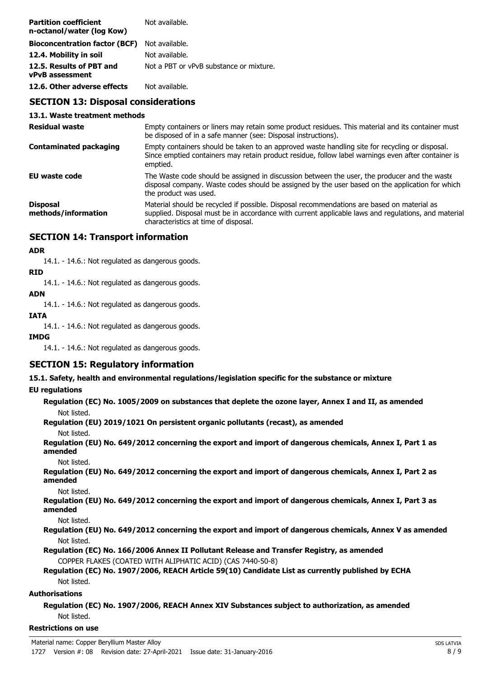| <b>Partition coefficient</b><br>n-octanol/water (log Kow) | Not available.                          |
|-----------------------------------------------------------|-----------------------------------------|
| <b>Bioconcentration factor (BCF)</b> Not available.       |                                         |
| 12.4. Mobility in soil                                    | Not available.                          |
| 12.5. Results of PBT and<br><b>vPvB</b> assessment        | Not a PBT or vPvB substance or mixture. |
| 12.6. Other adverse effects                               | Not available.                          |

# **SECTION 13: Disposal considerations**

#### **13.1. Waste treatment methods**

| <b>Residual waste</b>                  | Empty containers or liners may retain some product residues. This material and its container must<br>be disposed of in a safe manner (see: Disposal instructions).                                                                        |  |
|----------------------------------------|-------------------------------------------------------------------------------------------------------------------------------------------------------------------------------------------------------------------------------------------|--|
| <b>Contaminated packaging</b>          | Empty containers should be taken to an approved waste handling site for recycling or disposal.<br>Since emptied containers may retain product residue, follow label warnings even after container is<br>emptied.                          |  |
| EU waste code                          | The Waste code should be assigned in discussion between the user, the producer and the waste<br>disposal company. Waste codes should be assigned by the user based on the application for which<br>the product was used.                  |  |
| <b>Disposal</b><br>methods/information | Material should be recycled if possible. Disposal recommendations are based on material as<br>supplied. Disposal must be in accordance with current applicable laws and regulations, and material<br>characteristics at time of disposal. |  |

# **SECTION 14: Transport information**

#### **ADR**

14.1. - 14.6.: Not regulated as dangerous goods.

#### **RID**

14.1. - 14.6.: Not regulated as dangerous goods.

#### **ADN**

14.1. - 14.6.: Not regulated as dangerous goods.

#### **IATA**

14.1. - 14.6.: Not regulated as dangerous goods.

#### **IMDG**

14.1. - 14.6.: Not regulated as dangerous goods.

# **SECTION 15: Regulatory information**

#### **15.1. Safety, health and environmental regulations/legislation specific for the substance or mixture**

## **EU regulations**

**Regulation (EC) No. 1005/2009 on substances that deplete the ozone layer, Annex I and II, as amended** Not listed.

**Regulation (EU) 2019/1021 On persistent organic pollutants (recast), as amended**

Not listed.

**Regulation (EU) No. 649/2012 concerning the export and import of dangerous chemicals, Annex I, Part 1 as amended**

Not listed.

**Regulation (EU) No. 649/2012 concerning the export and import of dangerous chemicals, Annex I, Part 2 as amended**

Not listed.

**Regulation (EU) No. 649/2012 concerning the export and import of dangerous chemicals, Annex I, Part 3 as amended**

Not listed.

**Regulation (EU) No. 649/2012 concerning the export and import of dangerous chemicals, Annex V as amended** Not listed.

**Regulation (EC) No. 166/2006 Annex II Pollutant Release and Transfer Registry, as amended** COPPER FLAKES (COATED WITH ALIPHATIC ACID) (CAS 7440-50-8)

# **Regulation (EC) No. 1907/2006, REACH Article 59(10) Candidate List as currently published by ECHA** Not listed.

# **Authorisations**

**Regulation (EC) No. 1907/2006, REACH Annex XIV Substances subject to authorization, as amended** Not listed.

#### **Restrictions on use**